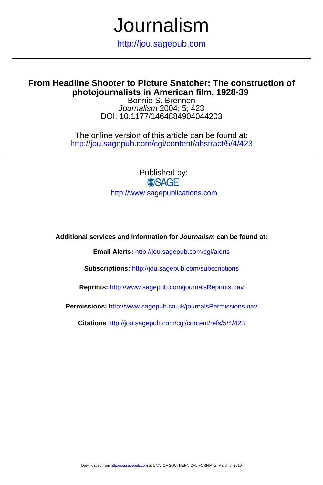# Journalism

http://jou.sagepub.com

# **photojournalists in American film, 1928-39 From Headline Shooter to Picture Snatcher: The construction of**

DOI: 10.1177/1464884904044203 Journalism 2004; 5; 423 Bonnie S. Brennen

http://jou.sagepub.com/cgi/content/abstract/5/4/423 The online version of this article can be found at:

> Published by:<br>
> SAGE http://www.sagepublications.com

**Additional services and information for Journalism can be found at:**

**Email Alerts:** <http://jou.sagepub.com/cgi/alerts>

**Subscriptions:** <http://jou.sagepub.com/subscriptions>

**Reprints:** <http://www.sagepub.com/journalsReprints.nav>

**Permissions:** <http://www.sagepub.co.uk/journalsPermissions.nav>

**Citations** <http://jou.sagepub.com/cgi/content/refs/5/4/423>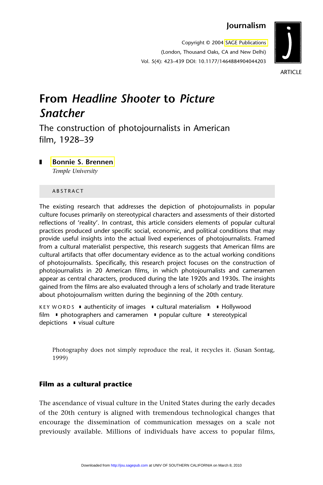## **Journalism**

Copyright © 2004 [SAGE Publications](www.sagepublications.com) (London, Thousand Oaks, CA and New Delhi) Vol. 5(4): 423–439 DOI: 10.1177/1464884904044203



# **From** *Headline Shooter* **to** *Picture Snatcher*

The construction of photojournalists in American film, 1928–39

<sup>j</sup> **[Bonnie S. Brennen](#page-17-0)**

*Temple University*

#### ABSTRACT

The existing research that addresses the depiction of photojournalists in popular culture focuses primarily on stereotypical characters and assessments of their distorted reflections of 'reality'. In contrast, this article considers elements of popular cultural practices produced under specific social, economic, and political conditions that may provide useful insights into the actual lived experiences of photojournalists. Framed from a cultural materialist perspective, this research suggests that American films are cultural artifacts that offer documentary evidence as to the actual working conditions of photojournalists. Specifically, this research project focuses on the construction of photojournalists in 20 American films, in which photojournalists and cameramen appear as central characters, produced during the late 1920s and 1930s. The insights gained from the films are also evaluated through a lens of scholarly and trade literature about photojournalism written during the beginning of the 20th century.

KEY WORDS **I** authenticity of images **I** cultural materialism **I** Hollywood film  $\bullet$  photographers and cameramen  $\bullet$  popular culture  $\bullet$  stereotypical depictions  $\blacksquare$  visual culture

Photography does not simply reproduce the real, it recycles it. (Susan Sontag, 1999)

### **Film as a cultural practice**

The ascendance of visual culture in the United States during the early decades of the 20th century is aligned with tremendous technological changes that encourage the dissemination of communication messages on a scale not previously available. Millions of individuals have access to popular films,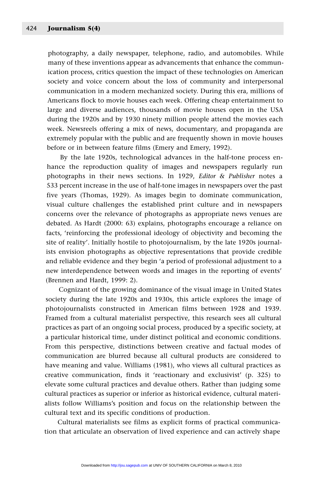photography, a daily newspaper, telephone, radio, and automobiles. While many of these inventions appear as advancements that enhance the communication process, critics question the impact of these technologies on American society and voice concern about the loss of community and interpersonal communication in a modern mechanized society. During this era, millions of Americans flock to movie houses each week. Offering cheap entertainment to large and diverse audiences, thousands of movie houses open in the USA during the 1920s and by 1930 ninety million people attend the movies each week. Newsreels offering a mix of news, documentary, and propaganda are extremely popular with the public and are frequently shown in movie houses before or in between feature films (Emery and Emery, 1992).

By the late 1920s, technological advances in the half-tone process enhance the reproduction quality of images and newspapers regularly run photographs in their news sections. In 1929, *Editor & Publisher* notes a 533 percent increase in the use of half-tone images in newspapers over the past five years (Thomas, 1929). As images begin to dominate communication, visual culture challenges the established print culture and in newspapers concerns over the relevance of photographs as appropriate news venues are debated. As Hardt (2000: 63) explains, photographs encourage a reliance on facts, 'reinforcing the professional ideology of objectivity and becoming the site of reality'. Initially hostile to photojournalism, by the late 1920s journalists envision photographs as objective representations that provide credible and reliable evidence and they begin 'a period of professional adjustment to a new interdependence between words and images in the reporting of events' (Brennen and Hardt, 1999: 2).

Cognizant of the growing dominance of the visual image in United States society during the late 1920s and 1930s, this article explores the image of photojournalists constructed in American films between 1928 and 1939. Framed from a cultural materialist perspective, this research sees all cultural practices as part of an ongoing social process, produced by a specific society, at a particular historical time, under distinct political and economic conditions. From this perspective, distinctions between creative and factual modes of communication are blurred because all cultural products are considered to have meaning and value. Williams (1981), who views all cultural practices as creative communication, finds it 'reactionary and exclusivist' (p. 325) to elevate some cultural practices and devalue others. Rather than judging some cultural practices as superior or inferior as historical evidence, cultural materialists follow Williams's position and focus on the relationship between the cultural text and its specific conditions of production.

Cultural materialists see films as explicit forms of practical communication that articulate an observation of lived experience and can actively shape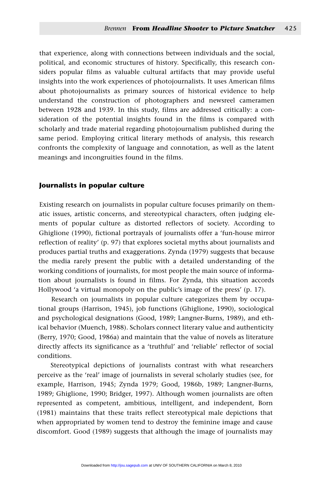that experience, along with connections between individuals and the social, political, and economic structures of history. Specifically, this research considers popular films as valuable cultural artifacts that may provide useful insights into the work experiences of photojournalists. It uses American films about photojournalists as primary sources of historical evidence to help understand the construction of photographers and newsreel cameramen between 1928 and 1939. In this study, films are addressed critically: a consideration of the potential insights found in the films is compared with scholarly and trade material regarding photojournalism published during the same period. Employing critical literary methods of analysis, this research confronts the complexity of language and connotation, as well as the latent meanings and incongruities found in the films.

#### **Journalists in popular culture**

Existing research on journalists in popular culture focuses primarily on thematic issues, artistic concerns, and stereotypical characters, often judging elements of popular culture as distorted reflectors of society. According to Ghiglione (1990), fictional portrayals of journalists offer a 'fun-house mirror reflection of reality' (p. 97) that explores societal myths about journalists and produces partial truths and exaggerations. Zynda (1979) suggests that because the media rarely present the public with a detailed understanding of the working conditions of journalists, for most people the main source of information about journalists is found in films. For Zynda, this situation accords Hollywood 'a virtual monopoly on the public's image of the press' (p. 17).

Research on journalists in popular culture categorizes them by occupational groups (Harrison, 1945), job functions (Ghiglione, 1990), sociological and psychological designations (Good, 1989; Langner-Burns, 1989), and ethical behavior (Muench, 1988). Scholars connect literary value and authenticity (Berry, 1970; Good, 1986a) and maintain that the value of novels as literature directly affects its significance as a 'truthful' and 'reliable' reflector of social conditions.

Stereotypical depictions of journalists contrast with what researchers perceive as the 'real' image of journalists in several scholarly studies (see, for example, Harrison, 1945; Zynda 1979; Good, 1986b, 1989; Langner-Burns, 1989; Ghiglione, 1990; Bridger, 1997). Although women journalists are often represented as competent, ambitious, intelligent, and independent, Born (1981) maintains that these traits reflect stereotypical male depictions that when appropriated by women tend to destroy the feminine image and cause discomfort. Good (1989) suggests that although the image of journalists may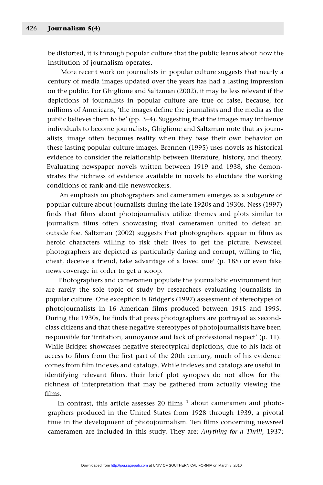be distorted, it is through popular culture that the public learns about how the institution of journalism operates.

More recent work on journalists in popular culture suggests that nearly a century of media images updated over the years has had a lasting impression on the public. For Ghiglione and Saltzman (2002), it may be less relevant if the depictions of journalists in popular culture are true or false, because, for millions of Americans, 'the images define the journalists and the media as the public believes them to be' (pp. 3–4). Suggesting that the images may influence individuals to become journalists, Ghiglione and Saltzman note that as journalists, image often becomes reality when they base their own behavior on these lasting popular culture images. Brennen (1995) uses novels as historical evidence to consider the relationship between literature, history, and theory. Evaluating newspaper novels written between 1919 and 1938, she demonstrates the richness of evidence available in novels to elucidate the working conditions of rank-and-file newsworkers.

An emphasis on photographers and cameramen emerges as a subgenre of popular culture about journalists during the late 1920s and 1930s. Ness (1997) finds that films about photojournalists utilize themes and plots similar to journalism films often showcasing rival cameramen united to defeat an outside foe. Saltzman (2002) suggests that photographers appear in films as heroic characters willing to risk their lives to get the picture. Newsreel photographers are depicted as particularly daring and corrupt, willing to 'lie, cheat, deceive a friend, take advantage of a loved one' (p. 185) or even fake news coverage in order to get a scoop.

Photographers and cameramen populate the journalistic environment but are rarely the sole topic of study by researchers evaluating journalists in popular culture. One exception is Bridger's (1997) assessment of stereotypes of photojournalists in 16 American films produced between 1915 and 1995. During the 1930s, he finds that press photographers are portrayed as secondclass citizens and that these negative stereotypes of photojournalists have been responsible for 'irritation, annoyance and lack of professional respect' (p. 11). While Bridger showcases negative stereotypical depictions, due to his lack of access to films from the first part of the 20th century, much of his evidence comes from film indexes and catalogs. While indexes and catalogs are useful in identifying relevant films, their brief plot synopses do not allow for the richness of interpretation that may be gathered from actually viewing the films.

In contrast, this article assesses 20 films  $<sup>1</sup>$  about cameramen and photo-</sup> graphers produced in the United States from 1928 through 1939, a pivotal time in the development of photojournalism. Ten films concerning newsreel cameramen are included in this study. They are: *Anything for a Thrill*, 1937;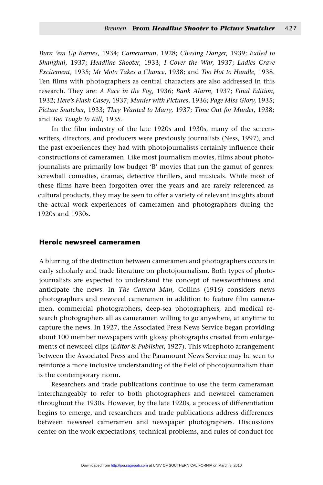*Burn 'em Up Barnes*, 1934; *Cameraman*, 1928; *Chasing Danger*, 1939; *Exiled to Shanghai*, 1937; *Headline Shooter*, 1933; *I Cover the War*, 1937; *Ladies Crave Excitement*, 1935; *Mr Moto Takes a Chance*, 1938; and *Too Hot to Handle*, 1938. Ten films with photographers as central characters are also addressed in this research. They are: *A Face in the Fog*, 1936; *Bank Alarm*, 1937; *Final Edition*, 1932; *Here's Flash Casey*, 1937; *Murder with Pictures*, 1936; *Page Miss Glory*, 1935; *Picture Snatcher*, 1933; *They Wanted to Marry*, 1937; *Time Out for Murder*, 1938; and *Too Tough to Kill*, 1935.

In the film industry of the late 1920s and 1930s, many of the screenwriters, directors, and producers were previously journalists (Ness, 1997), and the past experiences they had with photojournalists certainly influence their constructions of cameramen. Like most journalism movies, films about photojournalists are primarily low budget 'B' movies that run the gamut of genres: screwball comedies, dramas, detective thrillers, and musicals. While most of these films have been forgotten over the years and are rarely referenced as cultural products, they may be seen to offer a variety of relevant insights about the actual work experiences of cameramen and photographers during the 1920s and 1930s.

#### **Heroic newsreel cameramen**

A blurring of the distinction between cameramen and photographers occurs in early scholarly and trade literature on photojournalism. Both types of photojournalists are expected to understand the concept of newsworthiness and anticipate the news. In *The Camera Man*, Collins (1916) considers news photographers and newsreel cameramen in addition to feature film cameramen, commercial photographers, deep-sea photographers, and medical research photographers all as cameramen willing to go anywhere, at anytime to capture the news. In 1927, the Associated Press News Service began providing about 100 member newspapers with glossy photographs created from enlargements of newsreel clips (*Editor & Publisher*, 1927). This wirephoto arrangement between the Associated Press and the Paramount News Service may be seen to reinforce a more inclusive understanding of the field of photojournalism than is the contemporary norm.

Researchers and trade publications continue to use the term cameraman interchangeably to refer to both photographers and newsreel cameramen throughout the 1930s. However, by the late 1920s, a process of differentiation begins to emerge, and researchers and trade publications address differences between newsreel cameramen and newspaper photographers. Discussions center on the work expectations, technical problems, and rules of conduct for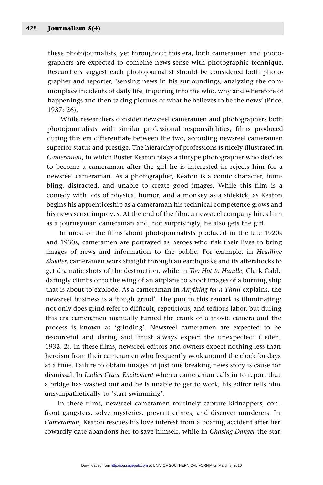these photojournalists, yet throughout this era, both cameramen and photographers are expected to combine news sense with photographic technique. Researchers suggest each photojournalist should be considered both photographer and reporter, 'sensing news in his surroundings, analyzing the commonplace incidents of daily life, inquiring into the who, why and wherefore of happenings and then taking pictures of what he believes to be the news' (Price, 1937: 26).

While researchers consider newsreel cameramen and photographers both photojournalists with similar professional responsibilities, films produced during this era differentiate between the two, according newsreel cameramen superior status and prestige. The hierarchy of professions is nicely illustrated in *Cameraman*, in which Buster Keaton plays a tintype photographer who decides to become a cameraman after the girl he is interested in rejects him for a newsreel cameraman. As a photographer, Keaton is a comic character, bumbling, distracted, and unable to create good images. While this film is a comedy with lots of physical humor, and a monkey as a sidekick, as Keaton begins his apprenticeship as a cameraman his technical competence grows and his news sense improves. At the end of the film, a newsreel company hires him as a journeyman cameraman and, not surprisingly, he also gets the girl.

In most of the films about photojournalists produced in the late 1920s and 1930s, cameramen are portrayed as heroes who risk their lives to bring images of news and information to the public. For example, in *Headline Shooter*, cameramen work straight through an earthquake and its aftershocks to get dramatic shots of the destruction, while in *Too Hot to Handle*, Clark Gable daringly climbs onto the wing of an airplane to shoot images of a burning ship that is about to explode. As a cameraman in *Anything for a Thrill* explains, the newsreel business is a 'tough grind'. The pun in this remark is illuminating: not only does grind refer to difficult, repetitious, and tedious labor, but during this era cameramen manually turned the crank of a movie camera and the process is known as 'grinding'. Newsreel cameramen are expected to be resourceful and daring and 'must always expect the unexpected' (Peden, 1932: 2). In these films, newsreel editors and owners expect nothing less than heroism from their cameramen who frequently work around the clock for days at a time. Failure to obtain images of just one breaking news story is cause for dismissal. In *Ladies Crave Excitement* when a cameraman calls in to report that a bridge has washed out and he is unable to get to work, his editor tells him unsympathetically to 'start swimming'.

In these films, newsreel cameramen routinely capture kidnappers, confront gangsters, solve mysteries, prevent crimes, and discover murderers. In *Cameraman*, Keaton rescues his love interest from a boating accident after her cowardly date abandons her to save himself, while in *Chasing Danger* the star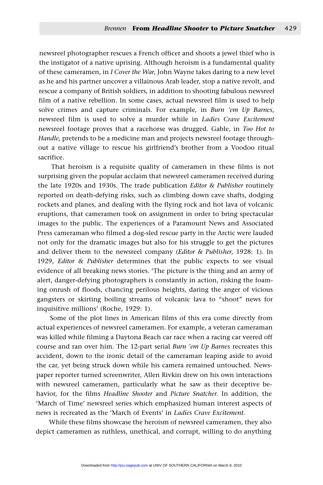newsreel photographer rescues a French officer and shoots a jewel thief who is the instigator of a native uprising. Although heroism is a fundamental quality of these cameramen, in *I Cover the War*, John Wayne takes daring to a new level as he and his partner uncover a villainous Arab leader, stop a native revolt, and rescue a company of British soldiers, in addition to shooting fabulous newsreel film of a native rebellion. In some cases, actual newsreel film is used to help solve crimes and capture criminals. For example, in *Burn 'em Up Barnes*, newsreel film is used to solve a murder while in *Ladies Crave Excitement* newsreel footage proves that a racehorse was drugged. Gable, in *Too Hot to Handle*, pretends to be a medicine man and projects newsreel footage throughout a native village to rescue his girlfriend's brother from a Voodoo ritual sacrifice.

That heroism is a requisite quality of cameramen in these films is not surprising given the popular acclaim that newsreel cameramen received during the late 1920s and 1930s. The trade publication *Editor & Publisher* routinely reported on death-defying risks, such as climbing down cave shafts, dodging rockets and planes, and dealing with the flying rock and hot lava of volcanic eruptions, that cameramen took on assignment in order to bring spectacular images to the public. The experiences of a Paramount News and Associated Press cameraman who filmed a dog-sled rescue party in the Arctic were lauded not only for the dramatic images but also for his struggle to get the pictures and deliver them to the newsreel company (*Editor & Publisher*, 1928: 1). In 1929, *Editor & Publisher* determines that the public expects to see visual evidence of all breaking news stories. 'The picture is the thing and an army of alert, danger-defying photographers is constantly in action, risking the foaming onrush of floods, chancing perilous heights, daring the anger of vicious gangsters or skirting boiling streams of volcanic lava to "shoot" news for inquisitive millions' (Roche, 1929: 1).

Some of the plot lines in American films of this era come directly from actual experiences of newsreel cameramen. For example, a veteran cameraman was killed while filming a Daytona Beach car race when a racing car veered off course and ran over him. The 12-part serial *Burn 'em Up Barnes* recreates this accident, down to the ironic detail of the cameraman leaping aside to avoid the car, yet being struck down while his camera remained untouched. Newspaper reporter turned screenwriter, Allen Rivkin drew on his own interactions with newsreel cameramen, particularly what he saw as their deceptive behavior, for the films *Headline Shooter* and *Picture Snatcher*. In addition, the 'March of Time' newsreel series which emphasized human interest aspects of news is recreated as the 'March of Events' in *Ladies Crave Excitement*.

While these films showcase the heroism of newsreel cameramen, they also depict cameramen as ruthless, unethical, and corrupt, willing to do anything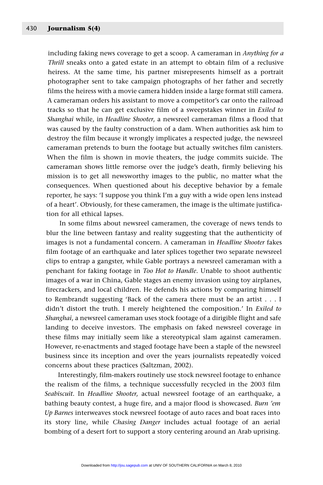including faking news coverage to get a scoop. A cameraman in *Anything for a Thrill* sneaks onto a gated estate in an attempt to obtain film of a reclusive heiress. At the same time, his partner misrepresents himself as a portrait photographer sent to take campaign photographs of her father and secretly films the heiress with a movie camera hidden inside a large format still camera. A cameraman orders his assistant to move a competitor's car onto the railroad tracks so that he can get exclusive film of a sweepstakes winner in *Exiled to Shanghai* while, in *Headline Shooter*, a newsreel cameraman films a flood that was caused by the faulty construction of a dam. When authorities ask him to destroy the film because it wrongly implicates a respected judge, the newsreel cameraman pretends to burn the footage but actually switches film canisters. When the film is shown in movie theaters, the judge commits suicide. The cameraman shows little remorse over the judge's death, firmly believing his mission is to get all newsworthy images to the public, no matter what the consequences. When questioned about his deceptive behavior by a female reporter, he says: 'I suppose you think I'm a guy with a wide open lens instead of a heart'. Obviously, for these cameramen, the image is the ultimate justification for all ethical lapses.

In some films about newsreel cameramen, the coverage of news tends to blur the line between fantasy and reality suggesting that the authenticity of images is not a fundamental concern. A cameraman in *Headline Shooter* fakes film footage of an earthquake and later splices together two separate newsreel clips to entrap a gangster, while Gable portrays a newsreel cameraman with a penchant for faking footage in *Too Hot to Handle*. Unable to shoot authentic images of a war in China, Gable stages an enemy invasion using toy airplanes, firecrackers, and local children. He defends his actions by comparing himself to Rembrandt suggesting 'Back of the camera there must be an artist . . . I didn't distort the truth. I merely heightened the composition.' In *Exiled to Shanghai*, a newsreel cameraman uses stock footage of a dirigible flight and safe landing to deceive investors. The emphasis on faked newsreel coverage in these films may initially seem like a stereotypical slam against cameramen. However, re-enactments and staged footage have been a staple of the newsreel business since its inception and over the years journalists repeatedly voiced concerns about these practices (Saltzman, 2002).

Interestingly, film-makers routinely use stock newsreel footage to enhance the realism of the films, a technique successfully recycled in the 2003 film *Seabiscuit*. In *Headline Shooter*, actual newsreel footage of an earthquake, a bathing beauty contest, a huge fire, and a major flood is showcased. *Burn 'em Up Barnes* interweaves stock newsreel footage of auto races and boat races into its story line, while *Chasing Danger* includes actual footage of an aerial bombing of a desert fort to support a story centering around an Arab uprising.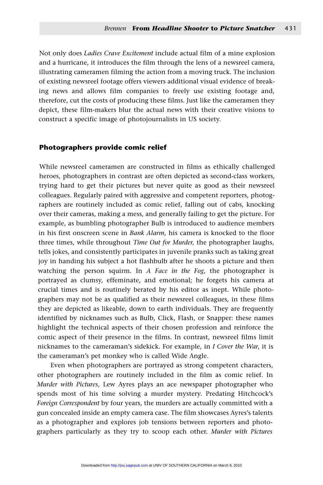Not only does *Ladies Crave Excitement* include actual film of a mine explosion and a hurricane, it introduces the film through the lens of a newsreel camera, illustrating cameramen filming the action from a moving truck. The inclusion of existing newsreel footage offers viewers additional visual evidence of breaking news and allows film companies to freely use existing footage and, therefore, cut the costs of producing these films. Just like the cameramen they depict, these film-makers blur the actual news with their creative visions to construct a specific image of photojournalists in US society.

#### **Photographers provide comic relief**

While newsreel cameramen are constructed in films as ethically challenged heroes, photographers in contrast are often depicted as second-class workers, trying hard to get their pictures but never quite as good as their newsreel colleagues. Regularly paired with aggressive and competent reporters, photographers are routinely included as comic relief, falling out of cabs, knocking over their cameras, making a mess, and generally failing to get the picture. For example, as bumbling photographer Bulb is introduced to audience members in his first onscreen scene in *Bank Alarm*, his camera is knocked to the floor three times, while throughout *Time Out for Murder*, the photographer laughs, tells jokes, and consistently participates in juvenile pranks such as taking great joy in handing his subject a hot flashbulb after he shoots a picture and then watching the person squirm. In *A Face in the Fog*, the photographer is portrayed as clumsy, effeminate, and emotional; he forgets his camera at crucial times and is routinely berated by his editor as inept. While photographers may not be as qualified as their newsreel colleagues, in these films they are depicted as likeable, down to earth individuals. They are frequently identified by nicknames such as Bulb, Click, Flash, or Snapper: these names highlight the technical aspects of their chosen profession and reinforce the comic aspect of their presence in the films. In contrast, newsreel films limit nicknames to the cameraman's sidekick. For example, in *I Cover the War*, it is the cameraman's pet monkey who is called Wide Angle.

Even when photographers are portrayed as strong competent characters, other photographers are routinely included in the film as comic relief. In *Murder with Pictures*, Lew Ayres plays an ace newspaper photographer who spends most of his time solving a murder mystery. Predating Hitchcock's *Foreign Correspondent* by four years, the murders are actually committed with a gun concealed inside an empty camera case. The film showcases Ayres's talents as a photographer and explores job tensions between reporters and photographers particularly as they try to scoop each other. *Murder with Pictures*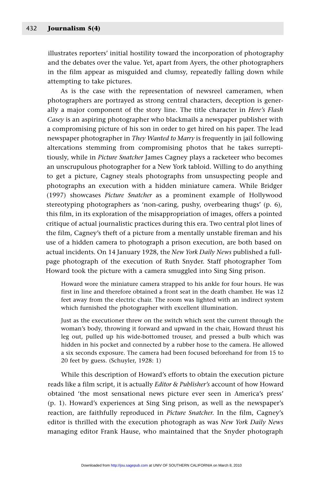illustrates reporters' initial hostility toward the incorporation of photography and the debates over the value. Yet, apart from Ayers, the other photographers in the film appear as misguided and clumsy, repeatedly falling down while attempting to take pictures.

As is the case with the representation of newsreel cameramen, when photographers are portrayed as strong central characters, deception is generally a major component of the story line. The title character in *Here's Flash Casey* is an aspiring photographer who blackmails a newspaper publisher with a compromising picture of his son in order to get hired on his paper. The lead newspaper photographer in *They Wanted to Marry* is frequently in jail following altercations stemming from compromising photos that he takes surreptitiously, while in *Picture Snatcher* James Cagney plays a racketeer who becomes an unscrupulous photographer for a New York tabloid. Willing to do anything to get a picture, Cagney steals photographs from unsuspecting people and photographs an execution with a hidden miniature camera. While Bridger (1997) showcases *Picture Snatcher* as a prominent example of Hollywood stereotyping photographers as 'non-caring, pushy, overbearing thugs' (p. 6), this film, in its exploration of the misappropriation of images, offers a pointed critique of actual journalistic practices during this era. Two central plot lines of the film, Cagney's theft of a picture from a mentally unstable fireman and his use of a hidden camera to photograph a prison execution, are both based on actual incidents. On 14 January 1928, the *New York Daily News* published a fullpage photograph of the execution of Ruth Snyder. Staff photographer Tom Howard took the picture with a camera smuggled into Sing Sing prison.

Howard wore the miniature camera strapped to his ankle for four hours. He was first in line and therefore obtained a front seat in the death chamber. He was 12 feet away from the electric chair. The room was lighted with an indirect system which furnished the photographer with excellent illumination.

Just as the executioner threw on the switch which sent the current through the woman's body, throwing it forward and upward in the chair, Howard thrust his leg out, pulled up his wide-bottomed trouser, and pressed a bulb which was hidden in his pocket and connected by a rubber hose to the camera. He allowed a six seconds exposure. The camera had been focused beforehand for from 15 to 20 feet by guess. (Schuyler, 1928: 1)

While this description of Howard's efforts to obtain the execution picture reads like a film script, it is actually *Editor & Publisher's* account of how Howard obtained 'the most sensational news picture ever seen in America's press' (p. 1). Howard's experiences at Sing Sing prison, as well as the newspaper's reaction, are faithfully reproduced in *Picture Snatcher*. In the film, Cagney's editor is thrilled with the execution photograph as was *New York Daily News* managing editor Frank Hause, who maintained that the Snyder photograph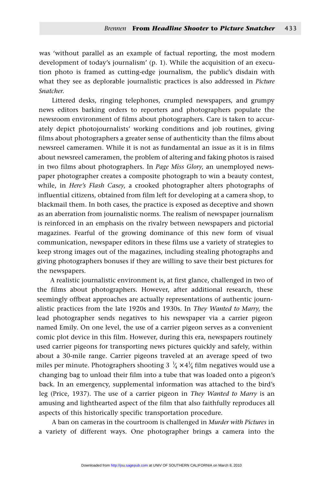was 'without parallel as an example of factual reporting, the most modern development of today's journalism' (p. 1). While the acquisition of an execution photo is framed as cutting-edge journalism, the public's disdain with what they see as deplorable journalistic practices is also addressed in *Picture Snatcher*.

Littered desks, ringing telephones, crumpled newspapers, and grumpy news editors barking orders to reporters and photographers populate the newsroom environment of films about photographers. Care is taken to accurately depict photojournalists' working conditions and job routines, giving films about photographers a greater sense of authenticity than the films about newsreel cameramen. While it is not as fundamental an issue as it is in films about newsreel cameramen, the problem of altering and faking photos is raised in two films about photographers. In *Page Miss Glory*, an unemployed newspaper photographer creates a composite photograph to win a beauty contest, while, in *Here's Flash Casey*, a crooked photographer alters photographs of influential citizens, obtained from film left for developing at a camera shop, to blackmail them. In both cases, the practice is exposed as deceptive and shown as an aberration from journalistic norms. The realism of newspaper journalism is reinforced in an emphasis on the rivalry between newspapers and pictorial magazines. Fearful of the growing dominance of this new form of visual communication, newspaper editors in these films use a variety of strategies to keep strong images out of the magazines, including stealing photographs and giving photographers bonuses if they are willing to save their best pictures for the newspapers.

A realistic journalistic environment is, at first glance, challenged in two of the films about photographers. However, after additional research, these seemingly offbeat approaches are actually representations of authentic journalistic practices from the late 1920s and 1930s. In *They Wanted to Marry*, the lead photographer sends negatives to his newspaper via a carrier pigeon named Emily. On one level, the use of a carrier pigeon serves as a convenient comic plot device in this film. However, during this era, newspapers routinely used carrier pigeons for transporting news pictures quickly and safely, within about a 30-mile range. Carrier pigeons traveled at an average speed of two miles per minute. Photographers shooting 3  $\frac{1}{4} \times 4\frac{1}{4}$  film negatives would use a ⁄ ⁄ changing bag to unload their film into a tube that was loaded onto a pigeon's back. In an emergency, supplemental information was attached to the bird's leg (Price, 1937). The use of a carrier pigeon in *They Wanted to Marry* is an amusing and lighthearted aspect of the film that also faithfully reproduces all aspects of this historically specific transportation procedure.

A ban on cameras in the courtroom is challenged in *Murder with Pictures* in a variety of different ways. One photographer brings a camera into the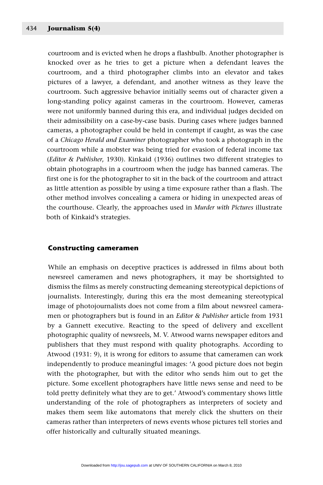courtroom and is evicted when he drops a flashbulb. Another photographer is knocked over as he tries to get a picture when a defendant leaves the courtroom, and a third photographer climbs into an elevator and takes pictures of a lawyer, a defendant, and another witness as they leave the courtroom. Such aggressive behavior initially seems out of character given a long-standing policy against cameras in the courtroom. However, cameras were not uniformly banned during this era, and individual judges decided on their admissibility on a case-by-case basis. During cases where judges banned cameras, a photographer could be held in contempt if caught, as was the case of a *Chicago Herald and Examiner* photographer who took a photograph in the courtroom while a mobster was being tried for evasion of federal income tax (*Editor & Publisher*, 1930). Kinkaid (1936) outlines two different strategies to obtain photographs in a courtroom when the judge has banned cameras. The first one is for the photographer to sit in the back of the courtroom and attract as little attention as possible by using a time exposure rather than a flash. The other method involves concealing a camera or hiding in unexpected areas of the courthouse. Clearly, the approaches used in *Murder with Pictures* illustrate both of Kinkaid's strategies.

#### **Constructing cameramen**

While an emphasis on deceptive practices is addressed in films about both newsreel cameramen and news photographers, it may be shortsighted to dismiss the films as merely constructing demeaning stereotypical depictions of journalists. Interestingly, during this era the most demeaning stereotypical image of photojournalists does not come from a film about newsreel cameramen or photographers but is found in an *Editor & Publisher* article from 1931 by a Gannett executive. Reacting to the speed of delivery and excellent photographic quality of newsreels, M. V. Atwood warns newspaper editors and publishers that they must respond with quality photographs. According to Atwood (1931: 9), it is wrong for editors to assume that cameramen can work independently to produce meaningful images: 'A good picture does not begin with the photographer, but with the editor who sends him out to get the picture. Some excellent photographers have little news sense and need to be told pretty definitely what they are to get.' Atwood's commentary shows little understanding of the role of photographers as interpreters of society and makes them seem like automatons that merely click the shutters on their cameras rather than interpreters of news events whose pictures tell stories and offer historically and culturally situated meanings.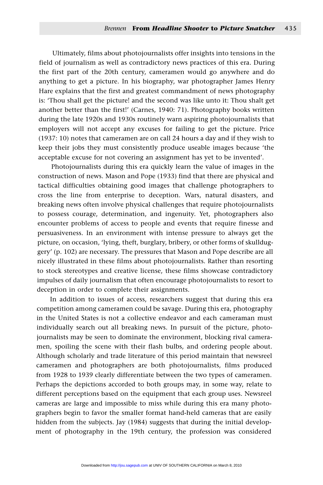Ultimately, films about photojournalists offer insights into tensions in the field of journalism as well as contradictory news practices of this era. During the first part of the 20th century, cameramen would go anywhere and do anything to get a picture. In his biography, war photographer James Henry Hare explains that the first and greatest commandment of news photography is: 'Thou shall get the picture! and the second was like unto it: Thou shalt get another better than the first!' (Carnes, 1940: 71). Photography books written during the late 1920s and 1930s routinely warn aspiring photojournalists that employers will not accept any excuses for failing to get the picture. Price (1937: 10) notes that cameramen are on call 24 hours a day and if they wish to keep their jobs they must consistently produce useable images because 'the acceptable excuse for not covering an assignment has yet to be invented'.

Photojournalists during this era quickly learn the value of images in the construction of news. Mason and Pope (1933) find that there are physical and tactical difficulties obtaining good images that challenge photographers to cross the line from enterprise to deception. Wars, natural disasters, and breaking news often involve physical challenges that require photojournalists to possess courage, determination, and ingenuity. Yet, photographers also encounter problems of access to people and events that require finesse and persuasiveness. In an environment with intense pressure to always get the picture, on occasion, 'lying, theft, burglary, bribery, or other forms of skullduggery' (p. 102) are necessary. The pressures that Mason and Pope describe are all nicely illustrated in these films about photojournalists. Rather than resorting to stock stereotypes and creative license, these films showcase contradictory impulses of daily journalism that often encourage photojournalists to resort to deception in order to complete their assignments.

In addition to issues of access, researchers suggest that during this era competition among cameramen could be savage. During this era, photography in the United States is not a collective endeavor and each cameraman must individually search out all breaking news. In pursuit of the picture, photojournalists may be seen to dominate the environment, blocking rival cameramen, spoiling the scene with their flash bulbs, and ordering people about. Although scholarly and trade literature of this period maintain that newsreel cameramen and photographers are both photojournalists, films produced from 1928 to 1939 clearly differentiate between the two types of cameramen. Perhaps the depictions accorded to both groups may, in some way, relate to different perceptions based on the equipment that each group uses. Newsreel cameras are large and impossible to miss while during this era many photographers begin to favor the smaller format hand-held cameras that are easily hidden from the subjects. Jay (1984) suggests that during the initial development of photography in the 19th century, the profession was considered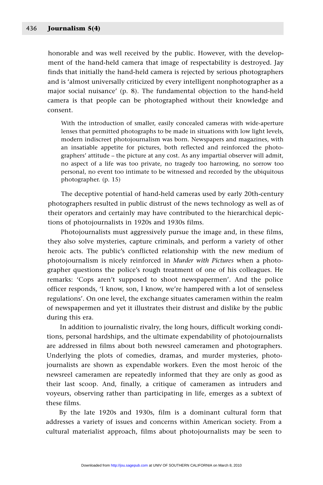honorable and was well received by the public. However, with the development of the hand-held camera that image of respectability is destroyed. Jay finds that initially the hand-held camera is rejected by serious photographers and is 'almost universally criticized by every intelligent nonphotographer as a major social nuisance' (p. 8). The fundamental objection to the hand-held camera is that people can be photographed without their knowledge and consent.

With the introduction of smaller, easily concealed cameras with wide-aperture lenses that permitted photographs to be made in situations with low light levels, modern indiscreet photojournalism was born. Newspapers and magazines, with an insatiable appetite for pictures, both reflected and reinforced the photographers' attitude – the picture at any cost. As any impartial observer will admit, no aspect of a life was too private, no tragedy too harrowing, no sorrow too personal, no event too intimate to be witnessed and recorded by the ubiquitous photographer. (p. 15)

The deceptive potential of hand-held cameras used by early 20th-century photographers resulted in public distrust of the news technology as well as of their operators and certainly may have contributed to the hierarchical depictions of photojournalists in 1920s and 1930s films.

Photojournalists must aggressively pursue the image and, in these films, they also solve mysteries, capture criminals, and perform a variety of other heroic acts. The public's conflicted relationship with the new medium of photojournalism is nicely reinforced in *Murder with Pictures* when a photographer questions the police's rough treatment of one of his colleagues. He remarks: 'Cops aren't supposed to shoot newspapermen'. And the police officer responds, 'I know, son, I know, we're hampered with a lot of senseless regulations'. On one level, the exchange situates cameramen within the realm of newspapermen and yet it illustrates their distrust and dislike by the public during this era.

In addition to journalistic rivalry, the long hours, difficult working conditions, personal hardships, and the ultimate expendability of photojournalists are addressed in films about both newsreel cameramen and photographers. Underlying the plots of comedies, dramas, and murder mysteries, photojournalists are shown as expendable workers. Even the most heroic of the newsreel cameramen are repeatedly informed that they are only as good as their last scoop. And, finally, a critique of cameramen as intruders and voyeurs, observing rather than participating in life, emerges as a subtext of these films.

By the late 1920s and 1930s, film is a dominant cultural form that addresses a variety of issues and concerns within American society. From a cultural materialist approach, films about photojournalists may be seen to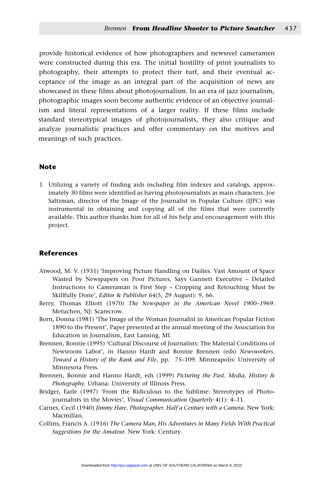provide historical evidence of how photographers and newsreel cameramen were constructed during this era. The initial hostility of print journalists to photography, their attempts to protect their turf, and their eventual acceptance of the image as an integral part of the acquisition of news are showcased in these films about photojournalism. In an era of jazz journalism, photographic images soon become authentic evidence of an objective journalism and literal representations of a larger reality. If these films include standard stereotypical images of photojournalists, they also critique and analyze journalistic practices and offer commentary on the motives and meanings of such practices.

#### **Note**

1 Utilizing a variety of finding aids including film indexes and catalogs, approximately 30 films were identified as having photojournalists as main characters. Joe Saltzman, director of the Image of the Journalist in Popular Culture (IJPC) was instrumental in obtaining and copying all of the films that were currently available. This author thanks him for all of his help and encouragement with this project.

#### **References**

- Atwood, M. V. (1931) 'Improving Picture Handling on Dailies. Vast Amount of Space Wasted by Newspapers on Poor Pictures, Says Gannett Executive – Detailed Instructions to Cameraman is First Step – Cropping and Retouching Must be Skillfully Done', *Editor & Publisher* 64(5, 29 August): 9, 66.
- Berry, Thomas Elliott (1970) *The Newspaper in the American Novel 1900–1969*. Metuchen, NJ: Scarecrow.
- Born, Donna (1981) 'The Image of the Woman Journalist in American Popular Fiction 1890 to the Present', Paper presented at the annual meeting of the Association for Education in Journalism, East Lansing, MI.
- Brennen, Bonnie (1995) 'Cultural Discourse of Journalists: The Material Conditions of Newsroom Labor', in Hanno Hardt and Bonnie Brennen (eds) *Newsworkers. Toward a History of the Rank and File*, pp. 75–109. Minneapolis: University of Minnesota Press.
- Brennen, Bonnie and Hanno Hardt, eds (1999) *Picturing the Past. Media, History & Photography.* Urbana: University of Illinois Press.
- Bridger, Earle (1997) 'From the Ridiculous to the Sublime: Stereotypes of Photojournalists in the Movies', *Visual Communication Quarterly* 4(1): 4–11.
- Carnes, Cecil (1940) *Jimmy Hare, Photographer. Half a Century with a Camera.* New York: Macmillan.
- Collins, Francis A. (1916) *The Camera Man, His Adventures in Many Fields With Practical Suggestions for the Amateur*. New York: Century.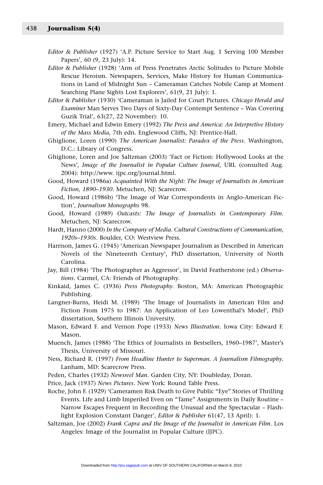- *Editor & Publisher* (1927) 'A.P. Picture Service to Start Aug. 1 Serving 100 Member Papers', 60 (9, 23 July): 14.
- *Editor & Publisher* (1928) 'Arm of Press Penetrates Arctic Solitudes to Picture Mobile Rescue Heroism. Newspapers, Services, Make History for Human Communications in Land of Midnight Sun – Cameraman Catches Nobile Camp at Moment Searching Plane Sights Lost Explorers', 61(9, 21 July): 1.
- *Editor & Publisher* (1930) 'Cameraman is Jailed for Court Pictures. *Chicago Herald and Examiner* Man Serves Two Days of Sixty-Day Contempt Sentence – Was Covering Guzik Trial', 63(27, 22 November): 10.
- Emery, Michael and Edwin Emery (1992) *The Press and America: An Interpretive History of the Mass Media*, 7th edn. Englewood Cliffs, NJ: Prentice-Hall.
- Ghiglione, Loren (1990) *The American Journalist: Paradox of the Press*. Washington, D.C.: Library of Congress.
- Ghiglione, Loren and Joe Saltzman (2003) 'Fact or Fiction: Hollywood Looks at the News', *Image of the Journalist in Popular Culture Journal*, URL (consulted Aug. 2004): http://www. ijpc.org/journal.html.
- Good, Howard (1986a) *Acquainted With the Night: The Image of Journalists in American Fiction, 1890–1930*. Metuchen, NJ: Scarecrow.
- Good, Howard (1986b) 'The Image of War Correspondents in Anglo-American Fiction', *Journalism Monographs* 98.
- Good, Howard (1989) *Outcasts: The Image of Journalists in Contemporary Film.* Metuchen, NJ: Scarecrow.
- Hardt, Hanno (2000) *In the Company of Media. Cultural Constructions of Communication, 1920s–1930s*. Boulder, CO: Westview Press.
- Harrison, James G. (1945) 'American Newspaper Journalism as Described in American Novels of the Nineteenth Century', PhD dissertation, University of North Carolina.
- Jay, Bill (1984) 'The Photographer as Aggressor', in David Featherstone (ed.) *Observations*. Carmel, CA: Friends of Photography.
- Kinkaid, James C. (1936) *Press Photography*. Boston, MA: American Photographic Publishing.
- Langner-Burns, Heidi M. (1989) 'The Image of Journalists in American Film and Fiction From 1975 to 1987: An Application of Leo Lowenthal's Model', PhD dissertation, Southern Illinois University.
- Mason, Edward F. and Vernon Pope (1933) *News Illustration*. Iowa City: Edward F. Mason.
- Muench, James (1988) 'The Ethics of Journalists in Bestsellers, 1960–1987', Master's Thesis, University of Missouri.
- Ness, Richard R. (1997) *From Headline Hunter to Superman. A Journalism Filmography*. Lanham, MD: Scarecrow Press.
- Peden, Charles (1932) *Newsreel Man*. Garden City, NY: Doubleday, Doran.
- Price, Jack (1937) *News Pictures*. New York: Round Table Press.
- Roche, John F. (1929) 'Cameramen Risk Death to Give Public "Eye" Stories of Thrilling Events. Life and Limb Imperiled Even on "Tame" Assignments in Daily Routine – Narrow Escapes Frequent in Recording the Unusual and the Spectacular – Flashlight Explosion Constant Danger', *Editor & Publisher* 61(47, 13 April): 1.
- Saltzman, Joe (2002) *Frank Capra and the Image of the Journalist in American Film*. Los Angeles: Image of the Journalist in Popular Culture (IJPC).